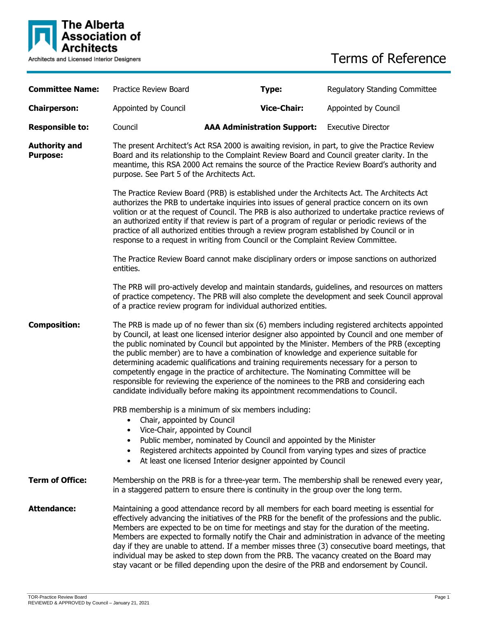

# Terms of Reference

| <b>Committee Name:</b>                  | Practice Review Board                                                                                                                                                                                                                                                                                                                                                                                                                                                                                                                                                                                                                                                                                                                                        | Type:                                                                                                                                                                                                                                                                             | <b>Regulatory Standing Committee</b> |
|-----------------------------------------|--------------------------------------------------------------------------------------------------------------------------------------------------------------------------------------------------------------------------------------------------------------------------------------------------------------------------------------------------------------------------------------------------------------------------------------------------------------------------------------------------------------------------------------------------------------------------------------------------------------------------------------------------------------------------------------------------------------------------------------------------------------|-----------------------------------------------------------------------------------------------------------------------------------------------------------------------------------------------------------------------------------------------------------------------------------|--------------------------------------|
| <b>Chairperson:</b>                     | Appointed by Council                                                                                                                                                                                                                                                                                                                                                                                                                                                                                                                                                                                                                                                                                                                                         | <b>Vice-Chair:</b>                                                                                                                                                                                                                                                                | Appointed by Council                 |
| <b>Responsible to:</b>                  | Council                                                                                                                                                                                                                                                                                                                                                                                                                                                                                                                                                                                                                                                                                                                                                      | <b>AAA Administration Support:</b>                                                                                                                                                                                                                                                | <b>Executive Director</b>            |
| <b>Authority and</b><br><b>Purpose:</b> | The present Architect's Act RSA 2000 is awaiting revision, in part, to give the Practice Review<br>Board and its relationship to the Complaint Review Board and Council greater clarity. In the<br>meantime, this RSA 2000 Act remains the source of the Practice Review Board's authority and<br>purpose. See Part 5 of the Architects Act.                                                                                                                                                                                                                                                                                                                                                                                                                 |                                                                                                                                                                                                                                                                                   |                                      |
|                                         | The Practice Review Board (PRB) is established under the Architects Act. The Architects Act<br>authorizes the PRB to undertake inquiries into issues of general practice concern on its own<br>volition or at the request of Council. The PRB is also authorized to undertake practice reviews of<br>an authorized entity if that review is part of a program of regular or periodic reviews of the<br>practice of all authorized entities through a review program established by Council or in<br>response to a request in writing from Council or the Complaint Review Committee.                                                                                                                                                                         |                                                                                                                                                                                                                                                                                   |                                      |
|                                         | The Practice Review Board cannot make disciplinary orders or impose sanctions on authorized<br>entities.                                                                                                                                                                                                                                                                                                                                                                                                                                                                                                                                                                                                                                                     |                                                                                                                                                                                                                                                                                   |                                      |
|                                         | The PRB will pro-actively develop and maintain standards, guidelines, and resources on matters<br>of practice competency. The PRB will also complete the development and seek Council approval<br>of a practice review program for individual authorized entities.                                                                                                                                                                                                                                                                                                                                                                                                                                                                                           |                                                                                                                                                                                                                                                                                   |                                      |
| <b>Composition:</b>                     | The PRB is made up of no fewer than six (6) members including registered architects appointed<br>by Council, at least one licensed interior designer also appointed by Council and one member of<br>the public nominated by Council but appointed by the Minister. Members of the PRB (excepting<br>the public member) are to have a combination of knowledge and experience suitable for<br>determining academic qualifications and training requirements necessary for a person to<br>competently engage in the practice of architecture. The Nominating Committee will be<br>responsible for reviewing the experience of the nominees to the PRB and considering each<br>candidate individually before making its appointment recommendations to Council. |                                                                                                                                                                                                                                                                                   |                                      |
|                                         | Chair, appointed by Council<br>• Vice-Chair, appointed by Council<br>٠                                                                                                                                                                                                                                                                                                                                                                                                                                                                                                                                                                                                                                                                                       | PRB membership is a minimum of six members including:<br>Public member, nominated by Council and appointed by the Minister<br>Registered architects appointed by Council from varying types and sizes of practice<br>At least one licensed Interior designer appointed by Council |                                      |
| <b>Term of Office:</b>                  | Membership on the PRB is for a three-year term. The membership shall be renewed every year,<br>in a staggered pattern to ensure there is continuity in the group over the long term.                                                                                                                                                                                                                                                                                                                                                                                                                                                                                                                                                                         |                                                                                                                                                                                                                                                                                   |                                      |
| <b>Attendance:</b>                      | Maintaining a good attendance record by all members for each board meeting is essential for<br>effectively advancing the initiatives of the PRB for the benefit of the professions and the public.<br>Members are expected to be on time for meetings and stay for the duration of the meeting.<br>Members are expected to formally notify the Chair and administration in advance of the meeting<br>day if they are unable to attend. If a member misses three (3) consecutive board meetings, that<br>individual may be asked to step down from the PRB. The vacancy created on the Board may<br>stay vacant or be filled depending upon the desire of the PRB and endorsement by Council.                                                                 |                                                                                                                                                                                                                                                                                   |                                      |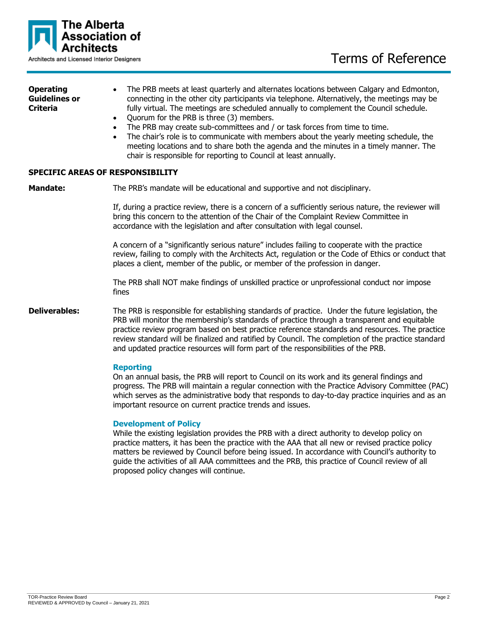

| <b>Operating</b>     | • The PRB meets at least quarterly and alternates locations between Calgary and Edmonton,   |  |
|----------------------|---------------------------------------------------------------------------------------------|--|
| <b>Guidelines or</b> | connecting in the other city participants via telephone. Alternatively, the meetings may be |  |
| <b>Criteria</b>      | fully virtual. The meetings are scheduled annually to complement the Council schedule.      |  |
|                      | • Quorum for the PRB is three (3) members.                                                  |  |

- The PRB may create sub-committees and / or task forces from time to time.
- The chair's role is to communicate with members about the yearly meeting schedule, the meeting locations and to share both the agenda and the minutes in a timely manner. The chair is responsible for reporting to Council at least annually.

### **SPECIFIC AREAS OF RESPONSIBILITY**

**Mandate:** The PRB's mandate will be educational and supportive and not disciplinary.

If, during a practice review, there is a concern of a sufficiently serious nature, the reviewer will bring this concern to the attention of the Chair of the Complaint Review Committee in accordance with the legislation and after consultation with legal counsel.

A concern of a "significantly serious nature" includes failing to cooperate with the practice review, failing to comply with the Architects Act, regulation or the Code of Ethics or conduct that places a client, member of the public, or member of the profession in danger.

The PRB shall NOT make findings of unskilled practice or unprofessional conduct nor impose fines

**Deliverables:** The PRB is responsible for establishing standards of practice. Under the future legislation, the PRB will monitor the membership's standards of practice through a transparent and equitable practice review program based on best practice reference standards and resources. The practice review standard will be finalized and ratified by Council. The completion of the practice standard and updated practice resources will form part of the responsibilities of the PRB.

#### **Reporting**

On an annual basis, the PRB will report to Council on its work and its general findings and progress. The PRB will maintain a regular connection with the Practice Advisory Committee (PAC) which serves as the administrative body that responds to day-to-day practice inquiries and as an important resource on current practice trends and issues.

#### **Development of Policy**

While the existing legislation provides the PRB with a direct authority to develop policy on practice matters, it has been the practice with the AAA that all new or revised practice policy matters be reviewed by Council before being issued. In accordance with Council's authority to guide the activities of all AAA committees and the PRB, this practice of Council review of all proposed policy changes will continue.